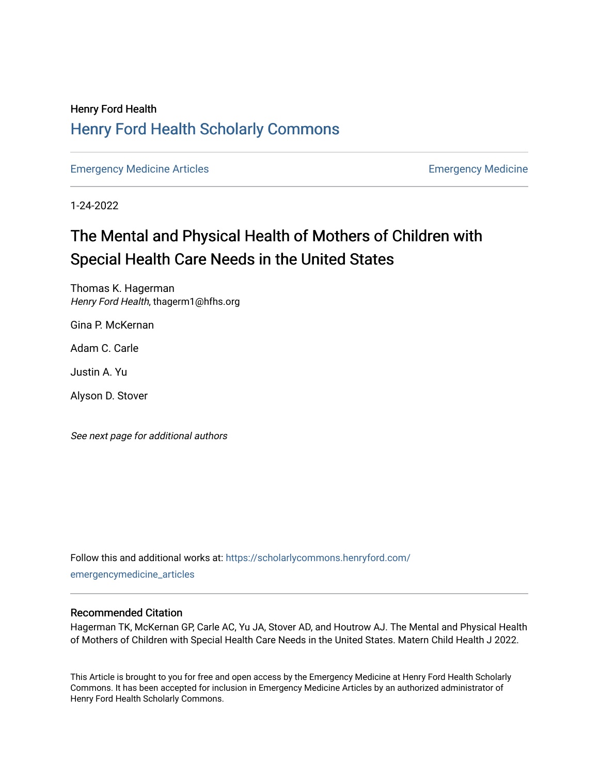### Henry Ford Health [Henry Ford Health Scholarly Commons](https://scholarlycommons.henryford.com/)

[Emergency Medicine Articles](https://scholarlycommons.henryford.com/emergencymedicine_articles) [Emergency Medicine](https://scholarlycommons.henryford.com/emergencymedicine) 

1-24-2022

# The Mental and Physical Health of Mothers of Children with Special Health Care Needs in the United States

Thomas K. Hagerman Henry Ford Health, thagerm1@hfhs.org

Gina P. McKernan

Adam C. Carle

Justin A. Yu

Alyson D. Stover

See next page for additional authors

Follow this and additional works at: [https://scholarlycommons.henryford.com/](https://scholarlycommons.henryford.com/emergencymedicine_articles?utm_source=scholarlycommons.henryford.com%2Femergencymedicine_articles%2F262&utm_medium=PDF&utm_campaign=PDFCoverPages) [emergencymedicine\\_articles](https://scholarlycommons.henryford.com/emergencymedicine_articles?utm_source=scholarlycommons.henryford.com%2Femergencymedicine_articles%2F262&utm_medium=PDF&utm_campaign=PDFCoverPages) 

#### Recommended Citation

Hagerman TK, McKernan GP, Carle AC, Yu JA, Stover AD, and Houtrow AJ. The Mental and Physical Health of Mothers of Children with Special Health Care Needs in the United States. Matern Child Health J 2022.

This Article is brought to you for free and open access by the Emergency Medicine at Henry Ford Health Scholarly Commons. It has been accepted for inclusion in Emergency Medicine Articles by an authorized administrator of Henry Ford Health Scholarly Commons.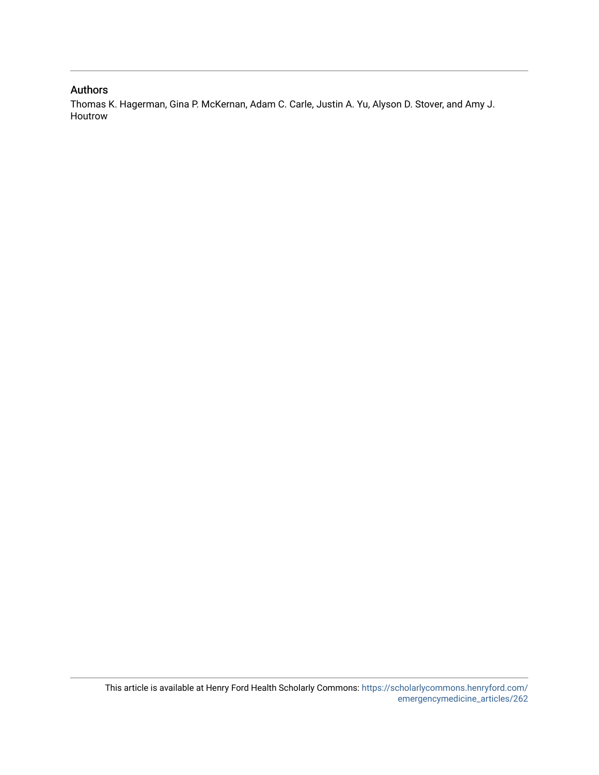#### Authors

Thomas K. Hagerman, Gina P. McKernan, Adam C. Carle, Justin A. Yu, Alyson D. Stover, and Amy J. Houtrow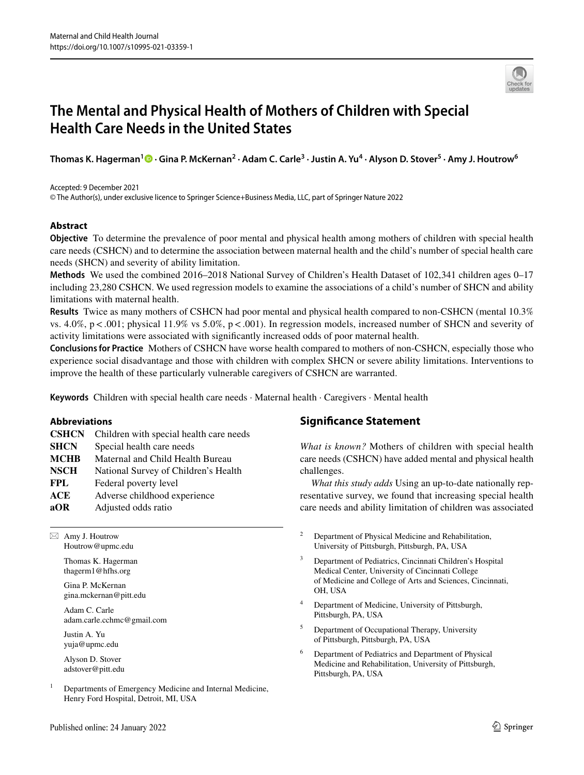

## **The Mental and Physical Health of Mothers of Children with Special Health Care Needs in the United States**

**Thomas K. Hagerman[1](http://orcid.org/0000-0002-8056-9269) · Gina P. McKernan<sup>2</sup> · Adam C. Carle3 · Justin A. Yu4 · Alyson D. Stover<sup>5</sup> · Amy J. Houtrow6**

#### Accepted: 9 December 2021

© The Author(s), under exclusive licence to Springer Science+Business Media, LLC, part of Springer Nature 2022

#### **Abstract**

**Objective** To determine the prevalence of poor mental and physical health among mothers of children with special health care needs (CSHCN) and to determine the association between maternal health and the child's number of special health care needs (SHCN) and severity of ability limitation.

**Methods** We used the combined 2016–2018 National Survey of Children's Health Dataset of 102,341 children ages 0–17 including 23,280 CSHCN. We used regression models to examine the associations of a child's number of SHCN and ability limitations with maternal health.

**Results** Twice as many mothers of CSHCN had poor mental and physical health compared to non-CSHCN (mental 10.3% vs. 4.0%,  $p < .001$ ; physical 11.9% vs 5.0%,  $p < .001$ ). In regression models, increased number of SHCN and severity of activity limitations were associated with signifcantly increased odds of poor maternal health.

**Conclusions for Practice** Mothers of CSHCN have worse health compared to mothers of non-CSHCN, especially those who experience social disadvantage and those with children with complex SHCN or severe ability limitations. Interventions to improve the health of these particularly vulnerable caregivers of CSHCN are warranted.

**Keywords** Children with special health care needs · Maternal health · Caregivers · Mental health

#### **Abbreviations**

**CSHCN** Children with special health care needs **SHCN** Special health care needs **MCHB** Maternal and Child Health Bureau **NSCH** National Survey of Children's Health **FPL** Federal poverty level **ACE** Adverse childhood experience **aOR** Adjusted odds ratio

 $\boxtimes$  Amy J. Houtrow Houtrow@upmc.edu

> Thomas K. Hagerman thagerm1@hfhs.org

Gina P. McKernan gina.mckernan@pitt.edu

Adam C. Carle adam.carle.cchmc@gmail.com

Justin A. Yu yuja@upmc.edu

Alyson D. Stover adstover@pitt.edu

 $1$  Departments of Emergency Medicine and Internal Medicine, Henry Ford Hospital, Detroit, MI, USA

### **Signifcance Statement**

*What is known?* Mothers of children with special health care needs (CSHCN) have added mental and physical health challenges.

*What this study adds* Using an up-to-date nationally representative survey, we found that increasing special health care needs and ability limitation of children was associated

- <sup>2</sup> Department of Physical Medicine and Rehabilitation, University of Pittsburgh, Pittsburgh, PA, USA
- <sup>3</sup> Department of Pediatrics, Cincinnati Children's Hospital Medical Center, University of Cincinnati College of Medicine and College of Arts and Sciences, Cincinnati, OH, USA
- <sup>4</sup> Department of Medicine, University of Pittsburgh, Pittsburgh, PA, USA
- <sup>5</sup> Department of Occupational Therapy, University of Pittsburgh, Pittsburgh, PA, USA
- <sup>6</sup> Department of Pediatrics and Department of Physical Medicine and Rehabilitation, University of Pittsburgh, Pittsburgh, PA, USA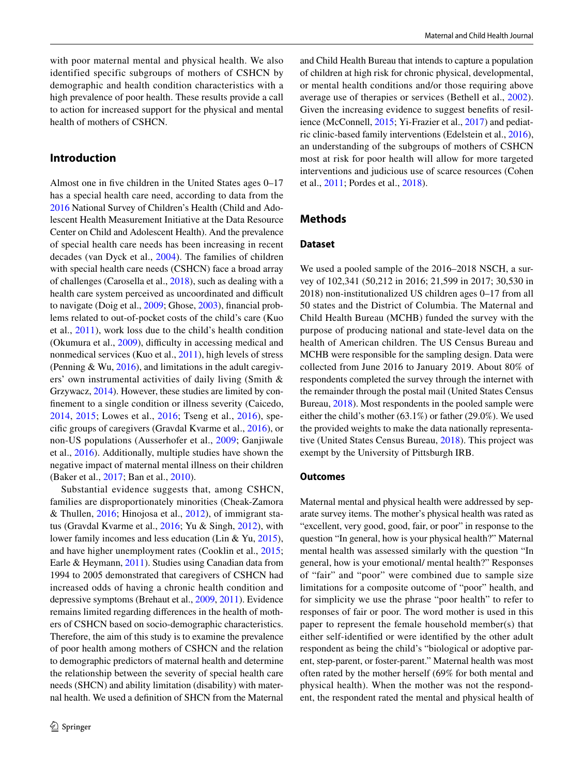with poor maternal mental and physical health. We also identified specific subgroups of mothers of CSHCN by demographic and health condition characteristics with a high prevalence of poor health. These results provide a call to action for increased support for the physical and mental health of mothers of CSHCN.

#### <span id="page-3-0"></span>**Introduction**

Almost one in fve children in the United States ages 0–17 has a special health care need, according to data from the [2016](#page-11-0) National Survey of Children's Health (Child and Adolescent Health Measurement Initiative at the Data Resource Center on Child and Adolescent Health). And the prevalence of special health care needs has been increasing in recent decades (van Dyck et al., [2004\)](#page-12-0). The families of children with special health care needs (CSHCN) face a broad array of challenges (Carosella et al., [2018](#page-11-1)), such as dealing with a health care system perceived as uncoordinated and difficult to navigate (Doig et al., [2009;](#page-11-2) Ghose, [2003](#page-12-1)), fnancial problems related to out-of-pocket costs of the child's care (Kuo et al., [2011](#page-12-2)), work loss due to the child's health condition (Okumura et al.,  $2009$ ), difficulty in accessing medical and nonmedical services (Kuo et al., [2011](#page-12-2)), high levels of stress (Penning & Wu, [2016\)](#page-12-4), and limitations in the adult caregivers' own instrumental activities of daily living (Smith & Grzywacz, [2014](#page-12-5)). However, these studies are limited by confnement to a single condition or illness severity (Caicedo, [2014,](#page-11-3) [2015](#page-11-4); Lowes et al., [2016;](#page-12-6) Tseng et al., [2016\)](#page-12-7), specifc groups of caregivers (Gravdal Kvarme et al., [2016](#page-12-8)), or non-US populations (Ausserhofer et al., [2009;](#page-11-5) Ganjiwale et al., [2016](#page-11-6)). Additionally, multiple studies have shown the negative impact of maternal mental illness on their children (Baker et al., [2017;](#page-11-7) Ban et al., [2010](#page-11-8)).

Substantial evidence suggests that, among CSHCN, families are disproportionately minorities (Cheak-Zamora & Thullen, [2016;](#page-11-9) Hinojosa et al., [2012](#page-12-9)), of immigrant status (Gravdal Kvarme et al., [2016;](#page-12-8) Yu & Singh, [2012\)](#page-12-10), with lower family incomes and less education (Lin & Yu, [2015](#page-12-11)), and have higher unemployment rates (Cooklin et al., [2015](#page-11-10); Earle & Heymann, [2011\)](#page-11-11). Studies using Canadian data from 1994 to 2005 demonstrated that caregivers of CSHCN had increased odds of having a chronic health condition and depressive symptoms (Brehaut et al., [2009](#page-11-12), [2011\)](#page-11-13). Evidence remains limited regarding diferences in the health of mothers of CSHCN based on socio-demographic characteristics. Therefore, the aim of this study is to examine the prevalence of poor health among mothers of CSHCN and the relation to demographic predictors of maternal health and determine the relationship between the severity of special health care needs (SHCN) and ability limitation (disability) with maternal health. We used a defnition of SHCN from the Maternal and Child Health Bureau that intends to capture a population of children at high risk for chronic physical, developmental, or mental health conditions and/or those requiring above average use of therapies or services (Bethell et al., [2002](#page-11-14)). Given the increasing evidence to suggest benefts of resilience (McConnell, [2015](#page-12-12); Yi-Frazier et al., [2017](#page-12-13)) and pediatric clinic-based family interventions (Edelstein et al., [2016](#page-11-15)), an understanding of the subgroups of mothers of CSHCN most at risk for poor health will allow for more targeted interventions and judicious use of scarce resources (Cohen et al., [2011;](#page-11-16) Pordes et al., [2018\)](#page-12-14).

#### **Methods**

#### **Dataset**

We used a pooled sample of the 2016–2018 NSCH, a survey of 102,341 (50,212 in 2016; 21,599 in 2017; 30,530 in 2018) non-institutionalized US children ages 0–17 from all 50 states and the District of Columbia. The Maternal and Child Health Bureau (MCHB) funded the survey with the purpose of producing national and state-level data on the health of American children. The US Census Bureau and MCHB were responsible for the sampling design. Data were collected from June 2016 to January 2019. About 80% of respondents completed the survey through the internet with the remainder through the postal mail (United States Census Bureau, [2018\)](#page-12-15). Most respondents in the pooled sample were either the child's mother (63.1%) or father (29.0%). We used the provided weights to make the data nationally representative (United States Census Bureau, [2018](#page-12-15)). This project was exempt by the University of Pittsburgh IRB.

#### **Outcomes**

Maternal mental and physical health were addressed by separate survey items. The mother's physical health was rated as "excellent, very good, good, fair, or poor" in response to the question "In general, how is your physical health?" Maternal mental health was assessed similarly with the question "In general, how is your emotional/ mental health?" Responses of "fair" and "poor" were combined due to sample size limitations for a composite outcome of "poor" health, and for simplicity we use the phrase "poor health" to refer to responses of fair or poor. The word mother is used in this paper to represent the female household member(s) that either self-identifed or were identifed by the other adult respondent as being the child's "biological or adoptive parent, step-parent, or foster-parent." Maternal health was most often rated by the mother herself (69% for both mental and physical health). When the mother was not the respondent, the respondent rated the mental and physical health of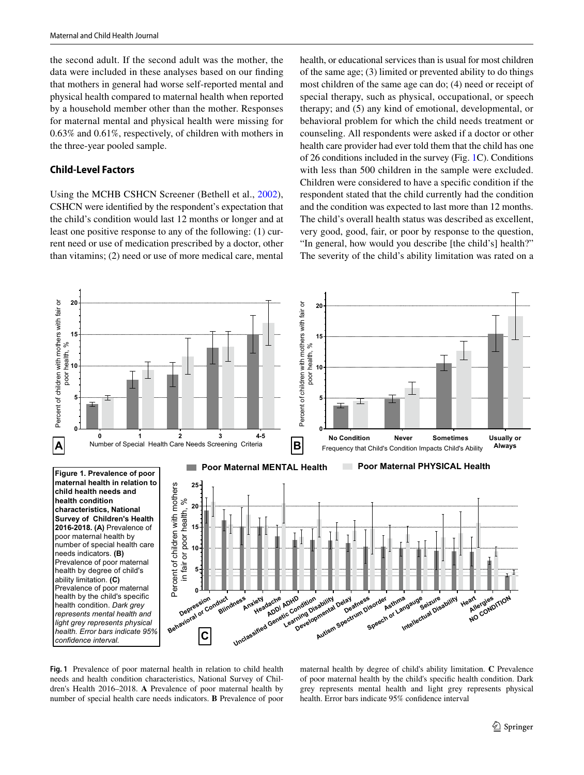the second adult. If the second adult was the mother, the data were included in these analyses based on our fnding that mothers in general had worse self-reported mental and physical health compared to maternal health when reported by a household member other than the mother. Responses for maternal mental and physical health were missing for 0.63% and 0.61%, respectively, of children with mothers in the three-year pooled sample.

#### **Child‑Level Factors**

Using the MCHB CSHCN Screener (Bethell et al., [2002](#page-11-14)), CSHCN were identifed by the respondent's expectation that the child's condition would last 12 months or longer and at least one positive response to any of the following: (1) current need or use of medication prescribed by a doctor, other than vitamins; (2) need or use of more medical care, mental health, or educational services than is usual for most children of the same age; (3) limited or prevented ability to do things most children of the same age can do; (4) need or receipt of special therapy, such as physical, occupational, or speech therapy; and (5) any kind of emotional, developmental, or behavioral problem for which the child needs treatment or counseling. All respondents were asked if a doctor or other health care provider had ever told them that the child has one of 26 conditions included in the survey (Fig. [1](#page-4-0)C). Conditions with less than 500 children in the sample were excluded. Children were considered to have a specifc condition if the respondent stated that the child currently had the condition and the condition was expected to last more than 12 months. The child's overall health status was described as excellent, very good, good, fair, or poor by response to the question, "In general, how would you describe [the child's] health?" The severity of the child's ability limitation was rated on a



<span id="page-4-0"></span>**Fig. 1** Prevalence of poor maternal health in relation to child health needs and health condition characteristics, National Survey of Children's Health 2016–2018. **A** Prevalence of poor maternal health by number of special health care needs indicators. **B** Prevalence of poor maternal health by degree of child's ability limitation. **C** Prevalence of poor maternal health by the child's specifc health condition. Dark grey represents mental health and light grey represents physical health. Error bars indicate 95% confdence interval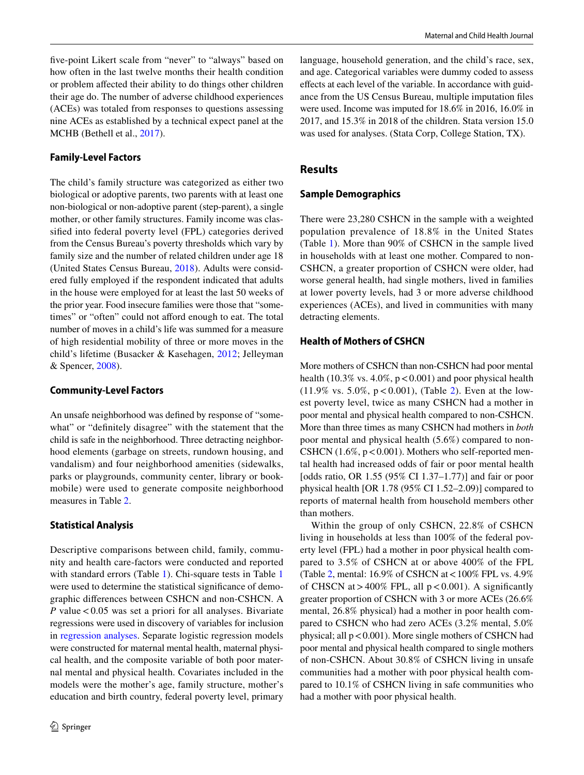fve-point Likert scale from "never" to "always" based on how often in the last twelve months their health condition or problem afected their ability to do things other children their age do. The number of adverse childhood experiences (ACEs) was totaled from responses to questions assessing nine ACEs as established by a technical expect panel at the MCHB (Bethell et al., [2017\)](#page-11-17).

#### **Family‑Level Factors**

The child's family structure was categorized as either two biological or adoptive parents, two parents with at least one non-biological or non-adoptive parent (step-parent), a single mother, or other family structures. Family income was classifed into federal poverty level (FPL) categories derived from the Census Bureau's poverty thresholds which vary by family size and the number of related children under age 18 (United States Census Bureau, [2018\)](#page-12-15). Adults were considered fully employed if the respondent indicated that adults in the house were employed for at least the last 50 weeks of the prior year. Food insecure families were those that "sometimes" or "often" could not afford enough to eat. The total number of moves in a child's life was summed for a measure of high residential mobility of three or more moves in the child's lifetime (Busacker & Kasehagen, [2012](#page-11-18); Jelleyman & Spencer, [2008\)](#page-12-16).

#### **Community‑Level Factors**

An unsafe neighborhood was defned by response of "somewhat" or "defnitely disagree" with the statement that the child is safe in the neighborhood. Three detracting neighborhood elements (garbage on streets, rundown housing, and vandalism) and four neighborhood amenities (sidewalks, parks or playgrounds, community center, library or bookmobile) were used to generate composite neighborhood measures in Table [2](#page-8-0).

#### **Statistical Analysis**

Descriptive comparisons between child, family, community and health care-factors were conducted and reported with standard errors (Table [1](#page-6-0)). Chi-square tests in Table [1](#page-6-0) were used to determine the statistical signifcance of demographic diferences between CSHCN and non-CSHCN. A *P* value < 0.05 was set a priori for all analyses. Bivariate regressions were used in discovery of variables for inclusion in [regression analyses](#page-5-0). Separate logistic regression models were constructed for maternal mental health, maternal physical health, and the composite variable of both poor maternal mental and physical health. Covariates included in the models were the mother's age, family structure, mother's education and birth country, federal poverty level, primary language, household generation, and the child's race, sex, and age. Categorical variables were dummy coded to assess efects at each level of the variable. In accordance with guidance from the US Census Bureau, multiple imputation fles were used. Income was imputed for 18.6% in 2016, 16.0% in 2017, and 15.3% in 2018 of the children. Stata version 15.0 was used for analyses. (Stata Corp, College Station, TX).

#### **Results**

#### **Sample Demographics**

There were 23,280 CSHCN in the sample with a weighted population prevalence of 18.8% in the United States (Table [1\)](#page-6-0). More than 90% of CSHCN in the sample lived in households with at least one mother. Compared to non-CSHCN, a greater proportion of CSHCN were older, had worse general health, had single mothers, lived in families at lower poverty levels, had 3 or more adverse childhood experiences (ACEs), and lived in communities with many detracting elements.

#### <span id="page-5-0"></span>**Health of Mothers of CSHCN**

More mothers of CSHCN than non-CSHCN had poor mental health (10.3% vs.  $4.0\%$ ,  $p < 0.001$ ) and poor physical health  $(11.9\% \text{ vs. } 5.0\%, \text{ p} < 0.001),$  (Table [2\)](#page-8-0). Even at the lowest poverty level, twice as many CSHCN had a mother in poor mental and physical health compared to non-CSHCN. More than three times as many CSHCN had mothers in *both* poor mental and physical health (5.6%) compared to non-CSHCN  $(1.6\%, p < 0.001)$ . Mothers who self-reported mental health had increased odds of fair or poor mental health [odds ratio, OR 1.55 (95% CI 1.37–1.77)] and fair or poor physical health [OR 1.78 (95% CI 1.52–2.09)] compared to reports of maternal health from household members other than mothers.

Within the group of only CSHCN, 22.8% of CSHCN living in households at less than 100% of the federal poverty level (FPL) had a mother in poor physical health compared to 3.5% of CSHCN at or above 400% of the FPL (Table [2](#page-8-0), mental:  $16.9\%$  of CSHCN at <  $100\%$  FPL vs.  $4.9\%$ of CHSCN at  $>400\%$  FPL, all  $p < 0.001$ ). A significantly greater proportion of CSHCN with 3 or more ACEs (26.6% mental, 26.8% physical) had a mother in poor health compared to CSHCN who had zero ACEs (3.2% mental, 5.0% physical; all  $p < 0.001$ ). More single mothers of CSHCN had poor mental and physical health compared to single mothers of non-CSHCN. About 30.8% of CSHCN living in unsafe communities had a mother with poor physical health compared to 10.1% of CSHCN living in safe communities who had a mother with poor physical health.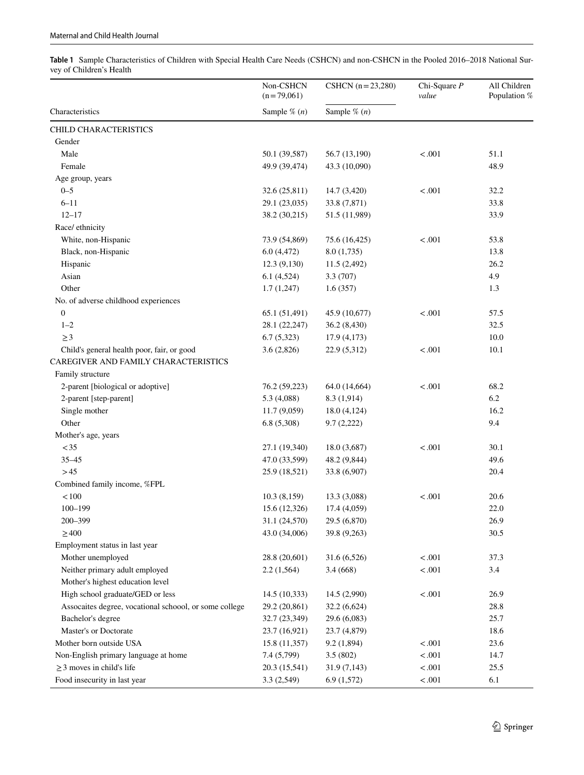<span id="page-6-0"></span>**Table 1** Sample Characteristics of Children with Special Health Care Needs (CSHCN) and non-CSHCN in the Pooled 2016–2018 National Survey of Children's Health

|                                                        | Non-CSHCN<br>$(n=79,061)$ | CSHCN $(n=23,280)$ | Chi-Square $P$<br>value | All Children<br>Population % |  |
|--------------------------------------------------------|---------------------------|--------------------|-------------------------|------------------------------|--|
| Characteristics                                        | Sample $\%$ $(n)$         | Sample $\%$ $(n)$  |                         |                              |  |
| CHILD CHARACTERISTICS                                  |                           |                    |                         |                              |  |
| Gender                                                 |                           |                    |                         |                              |  |
| Male                                                   | 50.1 (39,587)             | 56.7 (13,190)      | < .001                  | 51.1                         |  |
| Female                                                 | 49.9 (39,474)             | 43.3 (10,090)      |                         | 48.9                         |  |
| Age group, years                                       |                           |                    |                         |                              |  |
| $0 - 5$                                                | 32.6 (25,811)             | 14.7 (3,420)       | < .001                  | 32.2                         |  |
| $6 - 11$                                               | 29.1 (23,035)             | 33.8 (7,871)       |                         | 33.8                         |  |
| $12 - 17$                                              | 38.2 (30,215)             | 51.5 (11,989)      |                         | 33.9                         |  |
| Race/ ethnicity                                        |                           |                    |                         |                              |  |
| White, non-Hispanic                                    | 73.9 (54,869)             | 75.6 (16,425)      | < .001                  | 53.8                         |  |
| Black, non-Hispanic                                    | 6.0(4,472)                | 8.0(1,735)         |                         | 13.8                         |  |
| Hispanic                                               | 12.3(9,130)               | 11.5 (2,492)       |                         | 26.2                         |  |
| Asian                                                  | 6.1(4,524)                | 3.3 (707)          |                         | 4.9                          |  |
| Other                                                  | 1.7(1,247)                | 1.6(357)           |                         | 1.3                          |  |
| No. of adverse childhood experiences                   |                           |                    |                         |                              |  |
| $\boldsymbol{0}$                                       | 65.1 (51,491)             | 45.9 (10,677)      | < .001                  | 57.5                         |  |
| $1 - 2$                                                | 28.1 (22,247)             | 36.2 (8,430)       |                         | 32.5                         |  |
| $\geq$ 3                                               | 6.7(5,323)                | 17.9 (4,173)       |                         | 10.0                         |  |
| Child's general health poor, fair, or good             | 3.6(2,826)                | 22.9 (5,312)       | < .001                  | 10.1                         |  |
| CAREGIVER AND FAMILY CHARACTERISTICS                   |                           |                    |                         |                              |  |
| Family structure                                       |                           |                    |                         |                              |  |
| 2-parent [biological or adoptive]                      | 76.2 (59,223)             | 64.0 (14,664)      | $-.001$                 | 68.2                         |  |
| 2-parent [step-parent]                                 | 5.3 (4,088)               | 8.3 (1,914)        |                         | 6.2                          |  |
| Single mother                                          | 11.7(9,059)               | 18.0 (4,124)       |                         | 16.2                         |  |
| Other                                                  | 6.8(5,308)                | 9.7(2,222)         |                         | 9.4                          |  |
| Mother's age, years                                    |                           |                    |                         |                              |  |
| $<$ 35                                                 | 27.1 (19,340)             | 18.0 (3,687)       | $-.001$                 | 30.1                         |  |
| $35 - 45$                                              | 47.0 (33,599)             | 48.2 (9,844)       |                         | 49.6                         |  |
| >45                                                    | 25.9 (18,521)             | 33.8 (6,907)       |                         | 20.4                         |  |
| Combined family income, %FPL                           |                           |                    |                         |                              |  |
| $<100$                                                 | 10.3(8,159)               | 13.3 (3,088)       | $-.001$                 | 20.6                         |  |
| $100 - 199$                                            | 15.6 (12,326)             | 17.4 (4,059)       |                         | 22.0                         |  |
| 200–399                                                | 31.1 (24,570)             | 29.5 (6,870)       |                         | 26.9                         |  |
| $\geq$ 400                                             | 43.0 (34,006)             | 39.8 (9,263)       |                         | 30.5                         |  |
| Employment status in last year                         |                           |                    |                         |                              |  |
| Mother unemployed                                      | 28.8 (20,601)             | 31.6 (6,526)       | < .001                  | 37.3                         |  |
| Neither primary adult employed                         | 2.2(1,564)                | 3.4(668)           | $-.001$                 | 3.4                          |  |
| Mother's highest education level                       |                           |                    |                         |                              |  |
| High school graduate/GED or less                       | 14.5(10,333)              | 14.5 (2,990)       | < .001                  | 26.9                         |  |
| Assocaites degree, vocational schoool, or some college | 29.2 (20,861)             | 32.2 (6,624)       |                         | 28.8                         |  |
| Bachelor's degree                                      | 32.7 (23,349)             | 29.6 (6,083)       |                         | 25.7                         |  |
| Master's or Doctorate                                  | 23.7 (16,921)             | 23.7 (4,879)       |                         | 18.6                         |  |
| Mother born outside USA                                | 15.8 (11,357)             | 9.2(1,894)         | < .001                  | 23.6                         |  |
| Non-English primary language at home                   | 7.4 (5,799)               | 3.5(802)           | $-.001$                 | 14.7                         |  |
| $\geq$ 3 moves in child's life                         | 20.3 (15,541)             | 31.9 (7,143)       | < .001                  | 25.5                         |  |
| Food insecurity in last year                           | 3.3 (2,549)               | 6.9(1,572)         | < .001                  | 6.1                          |  |
|                                                        |                           |                    |                         |                              |  |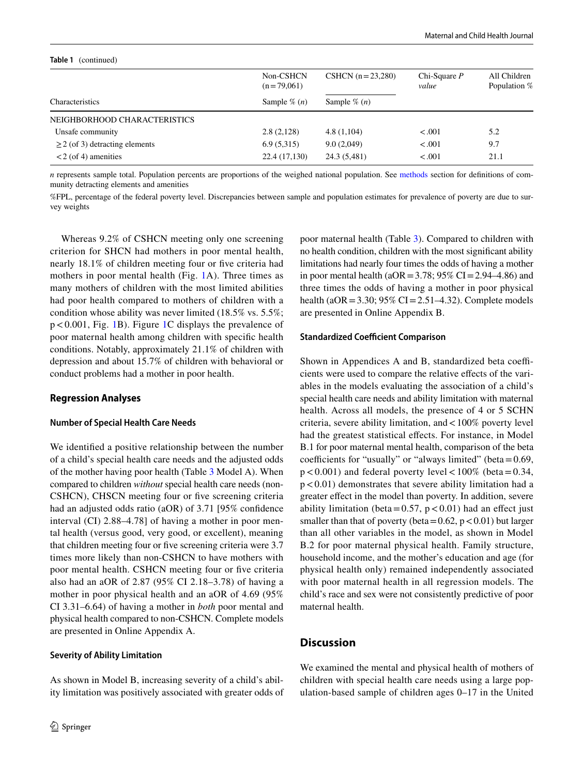| TANIE T<br>$\left(\text{continued}\right)$ |                           |                    |                         |                              |  |  |  |
|--------------------------------------------|---------------------------|--------------------|-------------------------|------------------------------|--|--|--|
|                                            | Non-CSHCN<br>$(n=79,061)$ | $CSHCN (n=23,280)$ | Chi-Square $P$<br>value | All Children<br>Population % |  |  |  |
| Characteristics                            | Sample $\%$ $(n)$         | Sample $\%$ $(n)$  |                         |                              |  |  |  |
| NEIGHBORHOOD CHARACTERISTICS               |                           |                    |                         |                              |  |  |  |
| Unsafe community                           | 2.8(2,128)                | 4.8(1,104)         | $-.001$                 | 5.2                          |  |  |  |
| $\geq$ 2 (of 3) detracting elements        | 6.9(5,315)                | 9.0(2,049)         | $-.001$                 | 9.7                          |  |  |  |
| $<$ 2 (of 4) amenities                     | 22.4 (17,130)             | 24.3 (5,481)       | $-.001$                 | 21.1                         |  |  |  |

*n* represents sample total. Population percents are proportions of the weighed national population. See [methods](#page-3-0) section for definitions of community detracting elements and amenities

%FPL, percentage of the federal poverty level. Discrepancies between sample and population estimates for prevalence of poverty are due to survey weights

Whereas 9.2% of CSHCN meeting only one screening criterion for SHCN had mothers in poor mental health, nearly 18.1% of children meeting four or fve criteria had mothers in poor mental health (Fig. [1](#page-4-0)A). Three times as many mothers of children with the most limited abilities had poor health compared to mothers of children with a condition whose ability was never limited (18.5% vs. 5.5%; p<0.001, Fig. [1B](#page-4-0)). Figure [1C](#page-4-0) displays the prevalence of poor maternal health among children with specifc health conditions. Notably, approximately 21.1% of children with depression and about 15.7% of children with behavioral or conduct problems had a mother in poor health.

#### **Regression Analyses**

**Table 1** (continued)

#### **Number of Special Health Care Needs**

We identifed a positive relationship between the number of a child's special health care needs and the adjusted odds of the mother having poor health (Table [3](#page-9-0) Model A). When compared to children *without* special health care needs (non-CSHCN), CHSCN meeting four or fve screening criteria had an adjusted odds ratio (aOR) of 3.71 [95% confdence interval (CI) 2.88–4.78] of having a mother in poor mental health (versus good, very good, or excellent), meaning that children meeting four or fve screening criteria were 3.7 times more likely than non-CSHCN to have mothers with poor mental health. CSHCN meeting four or fve criteria also had an aOR of 2.87 (95% CI 2.18–3.78) of having a mother in poor physical health and an aOR of 4.69 (95% CI 3.31–6.64) of having a mother in *both* poor mental and physical health compared to non-CSHCN. Complete models are presented in Online Appendix A.

#### **Severity of Ability Limitation**

As shown in Model B, increasing severity of a child's ability limitation was positively associated with greater odds of poor maternal health (Table [3\)](#page-9-0). Compared to children with no health condition, children with the most signifcant ability limitations had nearly four times the odds of having a mother in poor mental health ( $aOR = 3.78$ ; 95% CI = 2.94–4.86) and three times the odds of having a mother in poor physical health ( $aOR = 3.30$ ;  $95\% CI = 2.51 - 4.32$ ). Complete models are presented in Online Appendix B.

#### **Standardized Coefficient Comparison**

Shown in Appendices A and B, standardized beta coefficients were used to compare the relative efects of the variables in the models evaluating the association of a child's special health care needs and ability limitation with maternal health. Across all models, the presence of 4 or 5 SCHN criteria, severe ability limitation, and<100% poverty level had the greatest statistical effects. For instance, in Model B.1 for poor maternal mental health, comparison of the beta coefficients for "usually" or "always limited" (beta= $0.69$ ,  $p < 0.001$ ) and federal poverty level  $< 100\%$  (beta = 0.34,  $p < 0.01$ ) demonstrates that severe ability limitation had a greater efect in the model than poverty. In addition, severe ability limitation (beta=0.57,  $p < 0.01$ ) had an effect just smaller than that of poverty (beta=0.62,  $p < 0.01$ ) but larger than all other variables in the model, as shown in Model B.2 for poor maternal physical health. Family structure, household income, and the mother's education and age (for physical health only) remained independently associated with poor maternal health in all regression models. The child's race and sex were not consistently predictive of poor maternal health.

#### **Discussion**

We examined the mental and physical health of mothers of children with special health care needs using a large population-based sample of children ages 0–17 in the United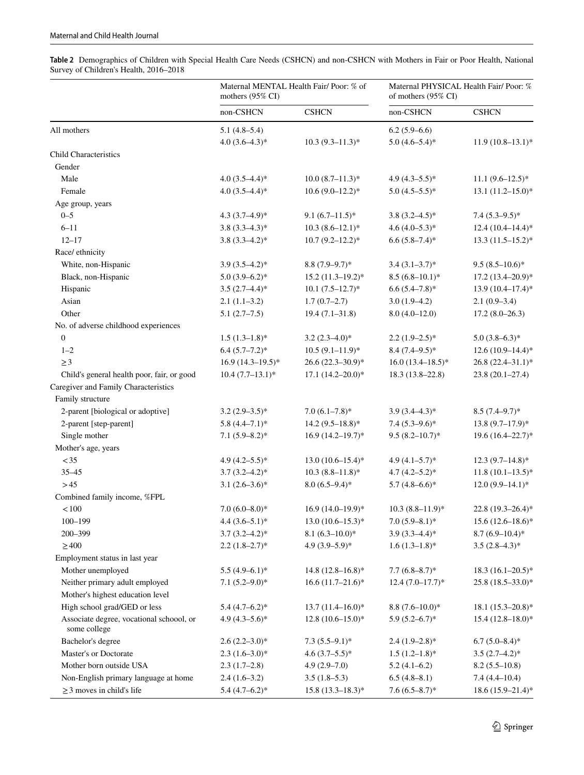<span id="page-8-0"></span>**Table 2** Demographics of Children with Special Health Care Needs (CSHCN) and non-CSHCN with Mothers in Fair or Poor Health, National Survey of Children's Health, 2016–2018

|                                                          | Maternal MENTAL Health Fair/Poor: % of<br>mothers (95% CI) |                        | Maternal PHYSICAL Health Fair/ Poor: %<br>of mothers (95% CI) |                        |
|----------------------------------------------------------|------------------------------------------------------------|------------------------|---------------------------------------------------------------|------------------------|
|                                                          | non-CSHCN                                                  | <b>CSHCN</b>           | non-CSHCN                                                     | <b>CSHCN</b>           |
| All mothers                                              | $5.1(4.8-5.4)$                                             |                        | $6.2(5.9-6.6)$                                                |                        |
|                                                          | $4.0(3.6-4.3)*$                                            | $10.3 (9.3 - 11.3)^*$  | $5.0(4.6-5.4)$ *                                              | $11.9(10.8-13.1)$ *    |
| <b>Child Characteristics</b>                             |                                                            |                        |                                                               |                        |
| Gender                                                   |                                                            |                        |                                                               |                        |
| Male                                                     | $4.0(3.5-4.4)$ *                                           | $10.0 (8.7 - 11.3)^*$  | 4.9 $(4.3-5.5)$ *                                             | $11.1 (9.6 - 12.5)^*$  |
| Female                                                   | 4.0 $(3.5-4.4)$ *                                          | $10.6(9.0-12.2)$ *     | $5.0(4.5-5.5)*$                                               | $13.1 (11.2 - 15.0)^*$ |
| Age group, years                                         |                                                            |                        |                                                               |                        |
| $0 - 5$                                                  | 4.3 $(3.7 - 4.9)^*$                                        | $9.1(6.7-11.5)$ *      | $3.8(3.2 - 4.5)^*$                                            | $7.4(5.3-9.5)*$        |
| $6 - 11$                                                 | $3.8(3.3-4.3)*$                                            | $10.3(8.6-12.1)$ *     | $4.6 (4.0 - 5.3)^*$                                           | $12.4(10.4–14.4)*$     |
| $12 - 17$                                                | $3.8(3.3 - 4.2)$ *                                         | $10.7(9.2 - 12.2)^*$   | $6.6(5.8-7.4)$ *                                              | $13.3 (11.5 - 15.2)^*$ |
| Race/ ethnicity                                          |                                                            |                        |                                                               |                        |
| White, non-Hispanic                                      | $3.9(3.5-4.2)$ *                                           | $8.8(7.9-9.7)$ *       | $3.4(3.1-3.7)$ *                                              | $9.5(8.5-10.6)*$       |
| Black, non-Hispanic                                      | $5.0(3.9-6.2)$ *                                           | $15.2 (11.3 - 19.2)^*$ | $8.5(6.8-10.1)$ *                                             | $17.2 (13.4 - 20.9)^*$ |
| Hispanic                                                 | $3.5(2.7-4.4)$ *                                           | $10.1 (7.5 - 12.7)^*$  | $6.6(5.4 - 7.8)*$                                             | $13.9(10.4 - 17.4)$ *  |
| Asian                                                    | $2.1(1.1-3.2)$                                             | $1.7(0.7-2.7)$         | $3.0(1.9-4.2)$                                                | $2.1(0.9-3.4)$         |
| Other                                                    | $5.1(2.7-7.5)$                                             | $19.4(7.1 - 31.8)$     | $8.0(4.0-12.0)$                                               | $17.2(8.0-26.3)$       |
| No. of adverse childhood experiences                     |                                                            |                        |                                                               |                        |
| $\boldsymbol{0}$                                         | $1.5(1.3-1.8)$ *                                           | $3.2(2.3-4.0)$ *       | $2.2(1.9-2.5)$ *                                              | $5.0(3.8-6.3)*$        |
| $1 - 2$                                                  | $6.4(5.7-7.2)$ *                                           | $10.5(9.1 - 11.9)$ *   | $8.4(7.4-9.5)*$                                               | $12.6(10.9 - 14.4)*$   |
| $\geq$ 3                                                 | $16.9(14.3-19.5)$ *                                        | $26.6(22.3 - 30.9)*$   | $16.0(13.4 - 18.5)^*$                                         | $26.8(22.4 - 31.1)^*$  |
| Child's general health poor, fair, or good               | $10.4 (7.7 - 13.1)^*$                                      | $17.1 (14.2 - 20.0)^*$ | $18.3(13.8-22.8)$                                             | $23.8(20.1 - 27.4)$    |
| Caregiver and Family Characteristics                     |                                                            |                        |                                                               |                        |
| Family structure                                         |                                                            |                        |                                                               |                        |
| 2-parent [biological or adoptive]                        | $3.2(2.9-3.5)$ *                                           | $7.0(6.1-7.8)$ *       | $3.9(3.4 - 4.3)*$                                             | $8.5(7.4-9.7)^*$       |
| 2-parent [step-parent]                                   | $5.8(4.4-7.1)$ *                                           | $14.2 (9.5 - 18.8)^*$  | $7.4(5.3-9.6)$ *                                              | $13.8(9.7-17.9)$ *     |
| Single mother                                            | $7.1(5.9 - 8.2)$ *                                         | $16.9(14.2 - 19.7)^*$  | $9.5(8.2 - 10.7)^*$                                           | 19.6 (16.4-22.7)*      |
| Mother's age, years                                      |                                                            |                        |                                                               |                        |
| $<$ 35                                                   | 4.9 $(4.2-5.5)$ *                                          | $13.0 (10.6 - 15.4)^*$ | $4.9(4.1-5.7)$ *                                              | $12.3(9.7-14.8)$ *     |
| $35 - 45$                                                | $3.7(3.2 - 4.2)*$                                          | $10.3 (8.8 - 11.8)^*$  | $4.7(4.2 - 5.2)*$                                             | $11.8(10.1-13.5)*$     |
| >45                                                      | $3.1(2.6-3.6)*$                                            | $8.0(6.5-9.4)$ *       | $5.7(4.8-6.6)*$                                               | $12.0(9.9 - 14.1)*$    |
| Combined family income, %FPL                             |                                                            |                        |                                                               |                        |
| < 100                                                    | $7.0 (6.0 - 8.0)$ *                                        | $16.9(14.0-19.9)*$     | $10.3 (8.8 - 11.9)^*$                                         | 22.8 (19.3-26.4)*      |
| $100 - 199$                                              | $4.4(3.6-5.1)$ *                                           | $13.0(10.6-15.3)*$     | $7.0(5.9 - 8.1)$ *                                            | $15.6(12.6 - 18.6)^*$  |
| 200-399                                                  | $3.7(3.2 - 4.2)^*$                                         | $8.1(6.3 - 10.0)*$     | $3.9(3.3 - 4.4)^*$                                            | $8.7(6.9 - 10.4)*$     |
| $\geq 400$                                               | $2.2 (1.8 - 2.7)^*$                                        | $4.9(3.9-5.9)*$        | $1.6(1.3-1.8)$ *                                              | $3.5(2.8-4.3)^*$       |
| Employment status in last year                           |                                                            |                        |                                                               |                        |
| Mother unemployed                                        | $5.5(4.9-6.1)$ *                                           | $14.8 (12.8 - 16.8)^*$ | $7.7(6.8 - 8.7)$ *                                            | $18.3 (16.1 - 20.5)^*$ |
| Neither primary adult employed                           | $7.1(5.2 - 9.0)$ *                                         | $16.6 (11.7 - 21.6)^*$ | $12.4(7.0-17.7)*$                                             | $25.8(18.5-33.0)*$     |
| Mother's highest education level                         |                                                            |                        |                                                               |                        |
| High school grad/GED or less                             | $5.4(4.7-6.2)$ *                                           | 13.7 $(11.4 - 16.0)*$  | $8.8(7.6 - 10.0)*$                                            | $18.1 (15.3 - 20.8)^*$ |
| Associate degree, vocational schoool, or<br>some college | 4.9 $(4.3-5.6)$ *                                          | $12.8(10.6-15.0)*$     | $5.9(5.2 - 6.7)^*$                                            | $15.4(12.8 - 18.0)*$   |
| Bachelor's degree                                        | $2.6(2.2 - 3.0)*$                                          | $7.3(5.5-9.1)$ *       | $2.4(1.9-2.8)*$                                               | $6.7(5.0 - 8.4)$ *     |
| Master's or Doctorate                                    | $2.3(1.6-3.0)*$                                            | $4.6(3.7-5.5)*$        | $1.5(1.2-1.8)$ *                                              | $3.5(2.7-4.2)$ *       |
| Mother born outside USA                                  | $2.3(1.7-2.8)$                                             | $4.9(2.9 - 7.0)$       | $5.2(4.1-6.2)$                                                | $8.2(5.5-10.8)$        |
| Non-English primary language at home                     | $2.4(1.6-3.2)$                                             | $3.5(1.8-5.3)$         | $6.5(4.8-8.1)$                                                | $7.4(4.4-10.4)$        |
| $\geq$ 3 moves in child's life                           | $5.4(4.7-6.2)$ *                                           | $15.8(13.3–18.3)*$     | $7.6(6.5 - 8.7)$ *                                            | $18.6 (15.9 - 21.4)^*$ |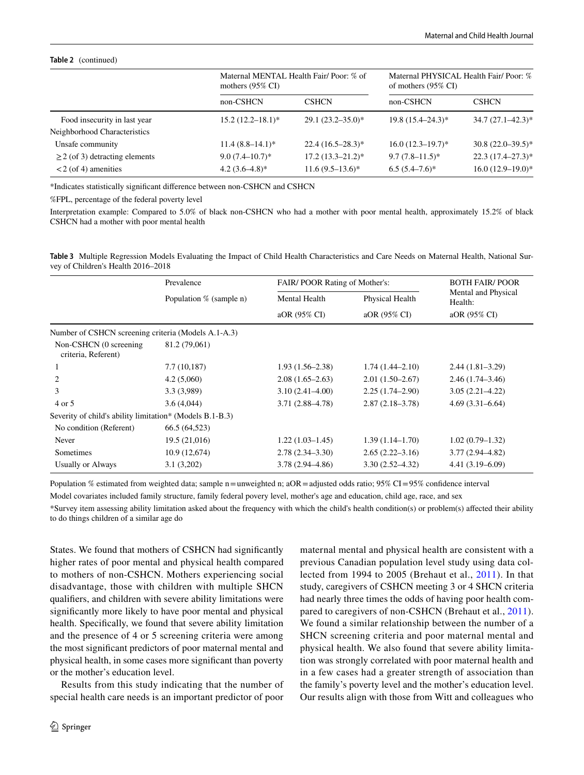#### **Table 2** (continued)

|                                     | mothers $(95\% \text{ CI})$ | Maternal MENTAL Health Fair/Poor: % of |                       | Maternal PHYSICAL Health Fair/Poor: %<br>of mothers $(95\% \text{ CI})$ |  |
|-------------------------------------|-----------------------------|----------------------------------------|-----------------------|-------------------------------------------------------------------------|--|
|                                     | non-CSHCN                   | <b>CSHCN</b>                           | non-CSHCN             | <b>CSHCN</b>                                                            |  |
| Food insecurity in last year        | $15.2(12.2 - 18.1)^*$       | $29.1(23.2 - 35.0)^*$                  | $19.8(15.4 - 24.3)^*$ | $34.7(27.1 - 42.3)^*$                                                   |  |
| Neighborhood Characteristics        |                             |                                        |                       |                                                                         |  |
| Unsafe community                    | $11.4(8.8-14.1)$ *          | $22.4(16.5-28.3)*$                     | $16.0(12.3-19.7)^*$   | $30.8(22.0-39.5)$ *                                                     |  |
| $\geq$ 2 (of 3) detracting elements | $9.0(7.4–10.7)*$            | $17.2(13.3 - 21.2)^*$                  | $9.7(7.8 - 11.5)^*$   | $22.3(17.4-27.3)*$                                                      |  |
| $<$ 2 (of 4) amenities              | $4.2(3.6-4.8)$ *            | $11.6(9.5-13.6)^*$                     | $6.5(5.4-7.6)^*$      | $16.0(12.9-19.0)$ *                                                     |  |

\*Indicates statistically signifcant diference between non-CSHCN and CSHCN

%FPL, percentage of the federal poverty level

Interpretation example: Compared to 5.0% of black non-CSHCN who had a mother with poor mental health, approximately 15.2% of black CSHCN had a mother with poor mental health

<span id="page-9-0"></span>

|                                    | Table 3 Multiple Regression Models Evaluating the Impact of Child Health Characteristics and Care Needs on Maternal Health, National Sur- |  |  |  |
|------------------------------------|-------------------------------------------------------------------------------------------------------------------------------------------|--|--|--|
| vey of Children's Health 2016–2018 |                                                                                                                                           |  |  |  |

|                                                          | Prevalence              |                      | FAIR/POOR Rating of Mother's: |                                |  |
|----------------------------------------------------------|-------------------------|----------------------|-------------------------------|--------------------------------|--|
|                                                          | Population % (sample n) | <b>Mental Health</b> | Physical Health               | Mental and Physical<br>Health: |  |
|                                                          |                         | aOR (95% CI)         | aOR (95% CI)                  | aOR (95% CI)                   |  |
| Number of CSHCN screening criteria (Models A.1-A.3)      |                         |                      |                               |                                |  |
| Non-CSHCN (0 screening)<br>criteria, Referent)           | 81.2 (79,061)           |                      |                               |                                |  |
|                                                          | 7.7 (10,187)            | $1.93(1.56-2.38)$    | $1.74(1.44 - 2.10)$           | $2.44(1.81-3.29)$              |  |
|                                                          | 4.2(5,060)              | $2.08(1.65-2.63)$    | $2.01(1.50-2.67)$             | $2.46(1.74 - 3.46)$            |  |
| 3                                                        | 3.3 (3,989)             | $3.10(2.41 - 4.00)$  | $2.25(1.74 - 2.90)$           | $3.05(2.21 - 4.22)$            |  |
| 4 or 5                                                   | 3.6(4,044)              | $3.71(2.88 - 4.78)$  | $2.87(2.18-3.78)$             | $4.69(3.31 - 6.64)$            |  |
| Severity of child's ability limitation* (Models B.1-B.3) |                         |                      |                               |                                |  |
| No condition (Referent)                                  | 66.5 (64,523)           |                      |                               |                                |  |
| Never                                                    | 19.5(21,016)            | $1.22(1.03-1.45)$    | $1.39(1.14-1.70)$             | $1.02(0.79-1.32)$              |  |
| Sometimes                                                | 10.9 (12,674)           | $2.78(2.34 - 3.30)$  | $2.65(2.22 - 3.16)$           | $3.77(2.94 - 4.82)$            |  |
| Usually or Always                                        | 3.1(3,202)              | $3.78(2.94 - 4.86)$  | $3.30(2.52 - 4.32)$           | $4.41(3.19 - 6.09)$            |  |

Population % estimated from weighted data; sample n=unweighted n; aOR=adjusted odds ratio; 95% CI=95% confdence interval

Model covariates included family structure, family federal povery level, mother's age and education, child age, race, and sex

\*Survey item assessing ability limitation asked about the frequency with which the child's health condition(s) or problem(s) afected their ability to do things children of a similar age do

States. We found that mothers of CSHCN had signifcantly higher rates of poor mental and physical health compared to mothers of non-CSHCN. Mothers experiencing social disadvantage, those with children with multiple SHCN qualifers, and children with severe ability limitations were signifcantly more likely to have poor mental and physical health. Specifcally, we found that severe ability limitation and the presence of 4 or 5 screening criteria were among the most signifcant predictors of poor maternal mental and physical health, in some cases more signifcant than poverty or the mother's education level.

Results from this study indicating that the number of special health care needs is an important predictor of poor maternal mental and physical health are consistent with a previous Canadian population level study using data collected from 1994 to 2005 (Brehaut et al., [2011\)](#page-11-13). In that study, caregivers of CSHCN meeting 3 or 4 SHCN criteria had nearly three times the odds of having poor health compared to caregivers of non-CSHCN (Brehaut et al., [2011](#page-11-13)). We found a similar relationship between the number of a SHCN screening criteria and poor maternal mental and physical health. We also found that severe ability limitation was strongly correlated with poor maternal health and in a few cases had a greater strength of association than the family's poverty level and the mother's education level. Our results align with those from Witt and colleagues who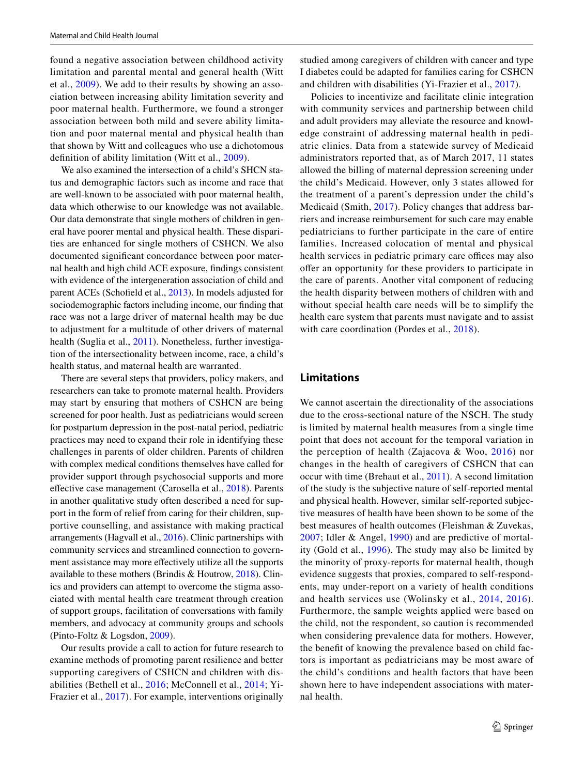found a negative association between childhood activity limitation and parental mental and general health (Witt et al., [2009\)](#page-12-17). We add to their results by showing an association between increasing ability limitation severity and poor maternal health. Furthermore, we found a stronger association between both mild and severe ability limitation and poor maternal mental and physical health than that shown by Witt and colleagues who use a dichotomous defnition of ability limitation (Witt et al., [2009\)](#page-12-17).

We also examined the intersection of a child's SHCN status and demographic factors such as income and race that are well-known to be associated with poor maternal health, data which otherwise to our knowledge was not available. Our data demonstrate that single mothers of children in general have poorer mental and physical health. These disparities are enhanced for single mothers of CSHCN. We also documented signifcant concordance between poor maternal health and high child ACE exposure, fndings consistent with evidence of the intergeneration association of child and parent ACEs (Schofeld et al., [2013\)](#page-12-18). In models adjusted for sociodemographic factors including income, our fnding that race was not a large driver of maternal health may be due to adjustment for a multitude of other drivers of maternal health (Suglia et al., [2011](#page-12-19)). Nonetheless, further investigation of the intersectionality between income, race, a child's health status, and maternal health are warranted.

There are several steps that providers, policy makers, and researchers can take to promote maternal health. Providers may start by ensuring that mothers of CSHCN are being screened for poor health. Just as pediatricians would screen for postpartum depression in the post-natal period, pediatric practices may need to expand their role in identifying these challenges in parents of older children. Parents of children with complex medical conditions themselves have called for provider support through psychosocial supports and more efective case management (Carosella et al., [2018](#page-11-1)). Parents in another qualitative study often described a need for support in the form of relief from caring for their children, supportive counselling, and assistance with making practical arrangements (Hagvall et al., [2016](#page-12-20)). Clinic partnerships with community services and streamlined connection to government assistance may more efectively utilize all the supports available to these mothers (Brindis & Houtrow, [2018\)](#page-11-19). Clinics and providers can attempt to overcome the stigma associated with mental health care treatment through creation of support groups, facilitation of conversations with family members, and advocacy at community groups and schools (Pinto-Foltz & Logsdon, [2009](#page-12-21)).

Our results provide a call to action for future research to examine methods of promoting parent resilience and better supporting caregivers of CSHCN and children with disabilities (Bethell et al., [2016](#page-11-20); McConnell et al., [2014](#page-12-22); Yi-Frazier et al., [2017](#page-12-13)). For example, interventions originally

studied among caregivers of children with cancer and type I diabetes could be adapted for families caring for CSHCN and children with disabilities (Yi-Frazier et al., [2017\)](#page-12-13).

Policies to incentivize and facilitate clinic integration with community services and partnership between child and adult providers may alleviate the resource and knowledge constraint of addressing maternal health in pediatric clinics. Data from a statewide survey of Medicaid administrators reported that, as of March 2017, 11 states allowed the billing of maternal depression screening under the child's Medicaid. However, only 3 states allowed for the treatment of a parent's depression under the child's Medicaid (Smith, [2017](#page-12-23)). Policy changes that address barriers and increase reimbursement for such care may enable pediatricians to further participate in the care of entire families. Increased colocation of mental and physical health services in pediatric primary care offices may also ofer an opportunity for these providers to participate in the care of parents. Another vital component of reducing the health disparity between mothers of children with and without special health care needs will be to simplify the health care system that parents must navigate and to assist with care coordination (Pordes et al., [2018](#page-12-14)).

#### **Limitations**

We cannot ascertain the directionality of the associations due to the cross-sectional nature of the NSCH. The study is limited by maternal health measures from a single time point that does not account for the temporal variation in the perception of health (Zajacova & Woo, [2016\)](#page-12-24) nor changes in the health of caregivers of CSHCN that can occur with time (Brehaut et al., [2011\)](#page-11-13). A second limitation of the study is the subjective nature of self-reported mental and physical health. However, similar self-reported subjective measures of health have been shown to be some of the best measures of health outcomes (Fleishman & Zuvekas, [2007;](#page-11-21) Idler & Angel, [1990\)](#page-12-25) and are predictive of mortality (Gold et al., [1996\)](#page-12-26). The study may also be limited by the minority of proxy-reports for maternal health, though evidence suggests that proxies, compared to self-respondents, may under-report on a variety of health conditions and health services use (Wolinsky et al., [2014](#page-12-27), [2016](#page-12-28)). Furthermore, the sample weights applied were based on the child, not the respondent, so caution is recommended when considering prevalence data for mothers. However, the beneft of knowing the prevalence based on child factors is important as pediatricians may be most aware of the child's conditions and health factors that have been shown here to have independent associations with maternal health.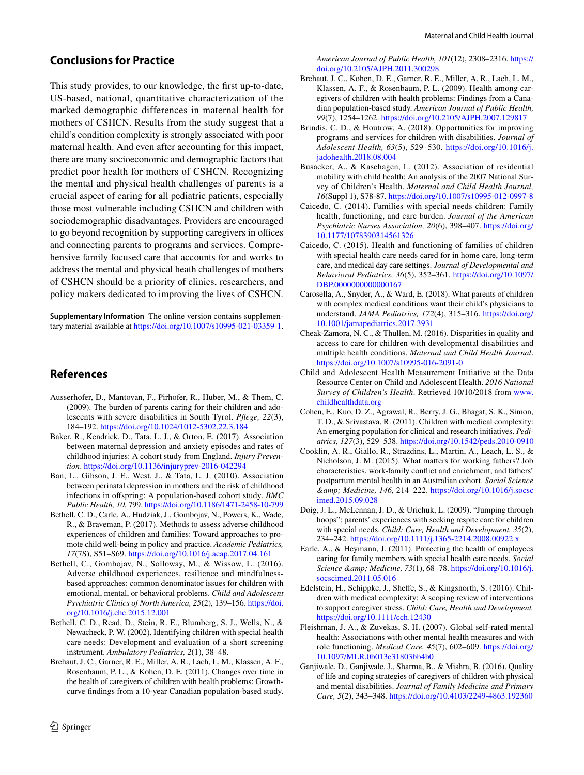#### **Conclusions for Practice**

This study provides, to our knowledge, the frst up-to-date, US-based, national, quantitative characterization of the marked demographic differences in maternal health for mothers of CSHCN. Results from the study suggest that a child's condition complexity is strongly associated with poor maternal health. And even after accounting for this impact, there are many socioeconomic and demographic factors that predict poor health for mothers of CSHCN. Recognizing the mental and physical health challenges of parents is a crucial aspect of caring for all pediatric patients, especially those most vulnerable including CSHCN and children with sociodemographic disadvantages. Providers are encouraged to go beyond recognition by supporting caregivers in offices and connecting parents to programs and services. Comprehensive family focused care that accounts for and works to address the mental and physical heath challenges of mothers of CSHCN should be a priority of clinics, researchers, and policy makers dedicated to improving the lives of CSHCN.

**Supplementary Information** The online version contains supplementary material available at<https://doi.org/10.1007/s10995-021-03359-1>.

#### **References**

- <span id="page-11-5"></span>Ausserhofer, D., Mantovan, F., Pirhofer, R., Huber, M., & Them, C. (2009). The burden of parents caring for their children and adolescents with severe disabilities in South Tyrol. *Pfege, 22*(3), 184–192.<https://doi.org/10.1024/1012-5302.22.3.184>
- <span id="page-11-7"></span>Baker, R., Kendrick, D., Tata, L. J., & Orton, E. (2017). Association between maternal depression and anxiety episodes and rates of childhood injuries: A cohort study from England. *Injury Prevention*. <https://doi.org/10.1136/injuryprev-2016-042294>
- <span id="page-11-8"></span>Ban, L., Gibson, J. E., West, J., & Tata, L. J. (2010). Association between perinatal depression in mothers and the risk of childhood infections in ofspring: A population-based cohort study. *BMC Public Health, 10*, 799. <https://doi.org/10.1186/1471-2458-10-799>
- <span id="page-11-17"></span>Bethell, C. D., Carle, A., Hudziak, J., Gombojav, N., Powers, K., Wade, R., & Braveman, P. (2017). Methods to assess adverse childhood experiences of children and families: Toward approaches to promote child well-being in policy and practice. *Academic Pediatrics, 17*(7S), S51–S69. <https://doi.org/10.1016/j.acap.2017.04.161>
- <span id="page-11-20"></span>Bethell, C., Gombojav, N., Solloway, M., & Wissow, L. (2016). Adverse childhood experiences, resilience and mindfulnessbased approaches: common denominator issues for children with emotional, mental, or behavioral problems. *Child and Adolescent Psychiatric Clinics of North America, 25*(2), 139–156. [https://doi.](https://doi.org/10.1016/j.chc.2015.12.001) [org/10.1016/j.chc.2015.12.001](https://doi.org/10.1016/j.chc.2015.12.001)
- <span id="page-11-14"></span>Bethell, C. D., Read, D., Stein, R. E., Blumberg, S. J., Wells, N., & Newacheck, P. W. (2002). Identifying children with special health care needs: Development and evaluation of a short screening instrument. *Ambulatory Pediatrics, 2*(1), 38–48.
- <span id="page-11-13"></span>Brehaut, J. C., Garner, R. E., Miller, A. R., Lach, L. M., Klassen, A. F., Rosenbaum, P. L., & Kohen, D. E. (2011). Changes over time in the health of caregivers of children with health problems: Growthcurve fndings from a 10-year Canadian population-based study.

*American Journal of Public Health, 101*(12), 2308–2316. [https://](https://doi.org/10.2105/AJPH.2011.300298) [doi.org/10.2105/AJPH.2011.300298](https://doi.org/10.2105/AJPH.2011.300298)

- <span id="page-11-12"></span>Brehaut, J. C., Kohen, D. E., Garner, R. E., Miller, A. R., Lach, L. M., Klassen, A. F., & Rosenbaum, P. L. (2009). Health among caregivers of children with health problems: Findings from a Canadian population-based study. *American Journal of Public Health, 99*(7), 1254–1262. <https://doi.org/10.2105/AJPH.2007.129817>
- <span id="page-11-19"></span>Brindis, C. D., & Houtrow, A. (2018). Opportunities for improving programs and services for children with disabilities. *Journal of Adolescent Health, 63*(5), 529–530. [https://doi.org/10.1016/j.](https://doi.org/10.1016/j.jadohealth.2018.08.004) [jadohealth.2018.08.004](https://doi.org/10.1016/j.jadohealth.2018.08.004)
- <span id="page-11-18"></span>Busacker, A., & Kasehagen, L. (2012). Association of residential mobility with child health: An analysis of the 2007 National Survey of Children's Health. *Maternal and Child Health Journal, 16*(Suppl 1), S78-87.<https://doi.org/10.1007/s10995-012-0997-8>
- <span id="page-11-3"></span>Caicedo, C. (2014). Families with special needs children: Family health, functioning, and care burden. *Journal of the American Psychiatric Nurses Association, 20*(6), 398–407. [https://doi.org/](https://doi.org/10.1177/1078390314561326) [10.1177/1078390314561326](https://doi.org/10.1177/1078390314561326)
- <span id="page-11-4"></span>Caicedo, C. (2015). Health and functioning of families of children with special health care needs cared for in home care, long-term care, and medical day care settings. *Journal of Developmental and Behavioral Pediatrics, 36*(5), 352–361. [https://doi.org/10.1097/](https://doi.org/10.1097/DBP.0000000000000167) [DBP.0000000000000167](https://doi.org/10.1097/DBP.0000000000000167)
- <span id="page-11-1"></span>Carosella, A., Snyder, A., & Ward, E. (2018). What parents of children with complex medical conditions want their child's physicians to understand. *JAMA Pediatrics, 172*(4), 315–316. [https://doi.org/](https://doi.org/10.1001/jamapediatrics.2017.3931) [10.1001/jamapediatrics.2017.3931](https://doi.org/10.1001/jamapediatrics.2017.3931)
- <span id="page-11-9"></span>Cheak-Zamora, N. C., & Thullen, M. (2016). Disparities in quality and access to care for children with developmental disabilities and multiple health conditions. *Maternal and Child Health Journal*. <https://doi.org/10.1007/s10995-016-2091-0>
- <span id="page-11-0"></span>Child and Adolescent Health Measurement Initiative at the Data Resource Center on Child and Adolescent Health. *2016 National Survey of Children's Health*. Retrieved 10/10/2018 from [www.](http://www.childhealthdata.org) [childhealthdata.org](http://www.childhealthdata.org)
- <span id="page-11-16"></span>Cohen, E., Kuo, D. Z., Agrawal, R., Berry, J. G., Bhagat, S. K., Simon, T. D., & Srivastava, R. (2011). Children with medical complexity: An emerging population for clinical and research initiatives. *Pediatrics, 127*(3), 529–538.<https://doi.org/10.1542/peds.2010-0910>
- <span id="page-11-10"></span>Cooklin, A. R., Giallo, R., Strazdins, L., Martin, A., Leach, L. S., & Nicholson, J. M. (2015). What matters for working fathers? Job characteristics, work-family confict and enrichment, and fathers' postpartum mental health in an Australian cohort. *Social Science & Medicine, 146*, 214–222. [https://doi.org/10.1016/j.socsc](https://doi.org/10.1016/j.socscimed.2015.09.028) [imed.2015.09.028](https://doi.org/10.1016/j.socscimed.2015.09.028)
- <span id="page-11-2"></span>Doig, J. L., McLennan, J. D., & Urichuk, L. (2009). "Jumping through hoops": parents' experiences with seeking respite care for children with special needs. *Child: Care, Health and Development, 35*(2), 234–242.<https://doi.org/10.1111/j.1365-2214.2008.00922.x>
- <span id="page-11-11"></span>Earle, A., & Heymann, J. (2011). Protecting the health of employees caring for family members with special health care needs. *Social Science & Medicine, 73*(1), 68–78. [https://doi.org/10.1016/j.](https://doi.org/10.1016/j.socscimed.2011.05.016) [socscimed.2011.05.016](https://doi.org/10.1016/j.socscimed.2011.05.016)
- <span id="page-11-15"></span>Edelstein, H., Schippke, J., Shefe, S., & Kingsnorth, S. (2016). Children with medical complexity: A scoping review of interventions to support caregiver stress. *Child: Care, Health and Development.* <https://doi.org/10.1111/cch.12430>
- <span id="page-11-21"></span>Fleishman, J. A., & Zuvekas, S. H. (2007). Global self-rated mental health: Associations with other mental health measures and with role functioning. *Medical Care, 45*(7), 602–609. [https://doi.org/](https://doi.org/10.1097/MLR.0b013e31803bb4b0) [10.1097/MLR.0b013e31803bb4b0](https://doi.org/10.1097/MLR.0b013e31803bb4b0)
- <span id="page-11-6"></span>Ganjiwale, D., Ganjiwale, J., Sharma, B., & Mishra, B. (2016). Quality of life and coping strategies of caregivers of children with physical and mental disabilities. *Journal of Family Medicine and Primary Care, 5*(2), 343–348.<https://doi.org/10.4103/2249-4863.192360>